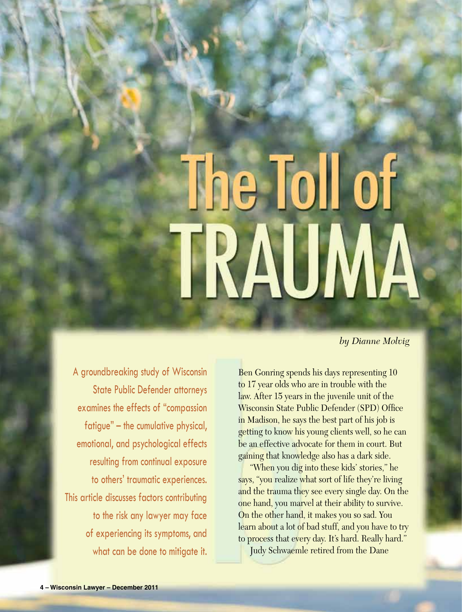# The Toll of TRAUMA

*by Dianne Molvig*

A groundbreaking study of Wisconsin State Public Defender attorneys examines the effects of "compassion fatigue" – the cumulative physical, emotional, and psychological effects resulting from continual exposure to others' traumatic experiences. This article discusses factors contributing to the risk any lawyer may face of experiencing its symptoms, and what can be done to mitigate it.

Ben Gonring spends his days representing 10 to 17 year olds who are in trouble with the law. After 15 years in the juvenile unit of the Wisconsin State Public Defender (SPD) Office in Madison, he says the best part of his job is getting to know his young clients well, so he can be an effective advocate for them in court. But gaining that knowledge also has a dark side.

"When you dig into these kids' stories," he says, "you realize what sort of life they're living and the trauma they see every single day. On the one hand, you marvel at their ability to survive. On the other hand, it makes you so sad. You learn about a lot of bad stuff, and you have to try to process that every day. It's hard. Really hard."

Judy Schwaemle retired from the Dane

Compassion Fatigue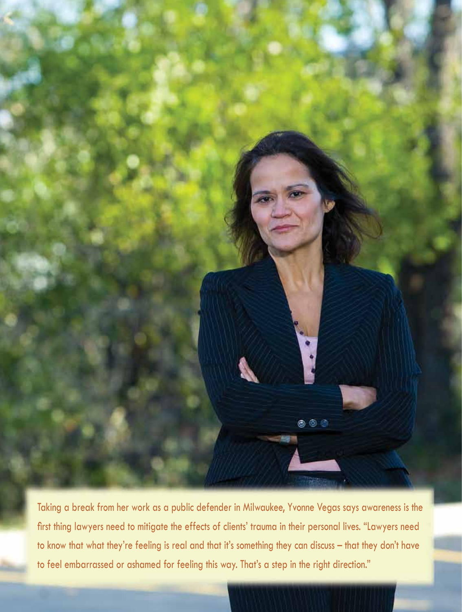

Taking a break from her work as a public defender in Milwaukee, Yvonne Vegas says awareness is the first thing lawyers need to mitigate the effects of clients' trauma in their personal lives. "Lawyers need to know that what they're feeling is real and that it's something they can discuss – that they don't have to feel embarrassed or ashamed for feeling this way. That's a step in the right direction."

**December 2011 – Wisconsin Lawyer – 5**

**December 2011 – Wisconsin Lawyer – 5**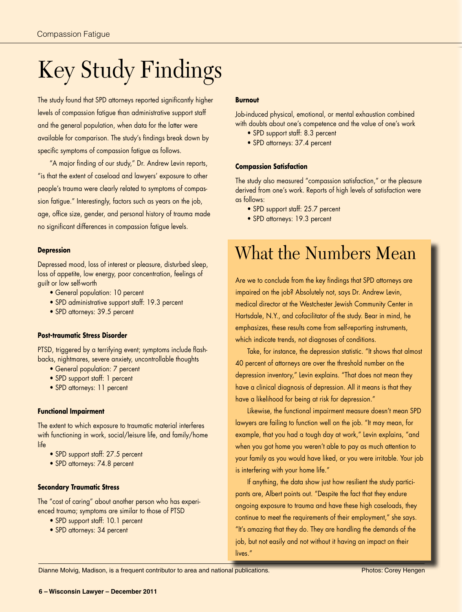# Key Study Findings

The study found that SPD attorneys reported significantly higher levels of compassion fatigue than administrative support staff and the general population, when data for the latter were available for comparison. The study's findings break down by specific symptoms of compassion fatigue as follows.

"A major finding of our study," Dr. Andrew Levin reports, "is that the extent of caseload and lawyers' exposure to other people's trauma were clearly related to symptoms of compassion fatigue." Interestingly, factors such as years on the job, age, office size, gender, and personal history of trauma made no significant differences in compassion fatigue levels.

## **Depression**

Depressed mood, loss of interest or pleasure, disturbed sleep, loss of appetite, low energy, poor concentration, feelings of guilt or low self-worth

- General population: 10 percent
- SPD administrative support staff: 19.3 percent
- SPD attorneys: 39.5 percent

# **Post-traumatic Stress Disorder**

PTSD, triggered by a terrifying event; symptoms include flashbacks, nightmares, severe anxiety, uncontrollable thoughts

- General population: 7 percent
- SPD support staff: 1 percent
- SPD attorneys: 11 percent

### **Functional Impairment**

The extent to which exposure to traumatic material interferes with functioning in work, social/leisure life, and family/home life

- SPD support staff: 27.5 percent
- SPD attorneys: 74.8 percent

### **Secondary Traumatic Stress**

The "cost of caring" about another person who has experienced trauma; symptoms are similar to those of PTSD

- SPD support staff: 10.1 percent
- SPD attorneys: 34 percent

# **Burnout**

Job-induced physical, emotional, or mental exhaustion combined with doubts about one's competence and the value of one's work

- SPD support staff: 8.3 percent
- SPD attorneys: 37.4 percent

## **Compassion Satisfaction**

The study also measured "compassion satisfaction," or the pleasure derived from one's work. Reports of high levels of satisfaction were as follows:

- SPD support staff: 25.7 percent
- SPD attorneys: 19.3 percent

# What the Numbers Mean

Are we to conclude from the key findings that SPD attorneys are impaired on the job? Absolutely not, says Dr. Andrew Levin, medical director at the Westchester Jewish Community Center in Hartsdale, N.Y., and cofacilitator of the study. Bear in mind, he emphasizes, these results come from self-reporting instruments, which indicate trends, not diagnoses of conditions.

Take, for instance, the depression statistic. "It shows that almost 40 percent of attorneys are over the threshold number on the depression inventory," Levin explains. "That does not mean they have a clinical diagnosis of depression. All it means is that they have a likelihood for being at risk for depression."

Likewise, the functional impairment measure doesn't mean SPD lawyers are failing to function well on the job. "It may mean, for example, that you had a tough day at work," Levin explains, "and when you got home you weren't able to pay as much attention to your family as you would have liked, or you were irritable. Your job is interfering with your home life."

If anything, the data show just how resilient the study participants are, Albert points out. "Despite the fact that they endure ongoing exposure to trauma and have these high caseloads, they continue to meet the requirements of their employment," she says. "It's amazing that they do. They are handling the demands of the job, but not easily and not without it having an impact on their lives."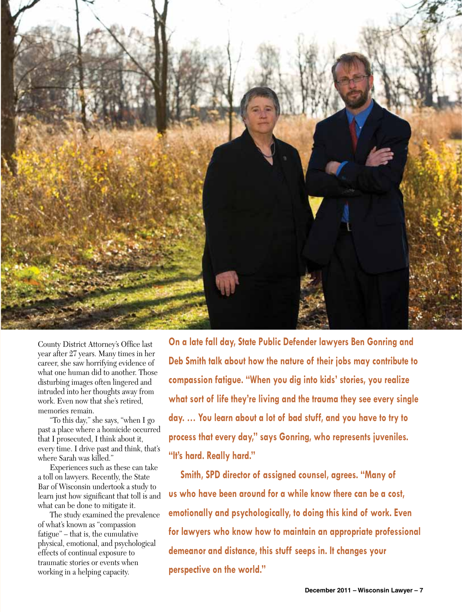

County District Attorney's Office last year after 27 years. Many times in her career, she saw horrifying evidence of what one human did to another. Those disturbing images often lingered and intruded into her thoughts away from work. Even now that she's retired, memories remain.

"To this day," she says, "when I go past a place where a homicide occurred that I prosecuted, I think about it, every time. I drive past and think, that's where Sarah was killed."

Experiences such as these can take a toll on lawyers. Recently, the State Bar of Wisconsin undertook a study to learn just how significant that toll is and what can be done to mitigate it.

The study examined the prevalence of what's known as "compassion fatigue" – that is, the cumulative physical, emotional, and psychological effects of continual exposure to traumatic stories or events when working in a helping capacity.

**On a late fall day, State Public Defender lawyers Ben Gonring and Deb Smith talk about how the nature of their jobs may contribute to compassion fatigue. "When you dig into kids' stories, you realize what sort of life they're living and the trauma they see every single day. … You learn about a lot of bad stuff, and you have to try to process that every day," says Gonring, who represents juveniles. "It's hard. Really hard."** 

**Smith, SPD director of assigned counsel, agrees. "Many of us who have been around for a while know there can be a cost, emotionally and psychologically, to doing this kind of work. Even for lawyers who know how to maintain an appropriate professional demeanor and distance, this stuff seeps in. It changes your perspective on the world."**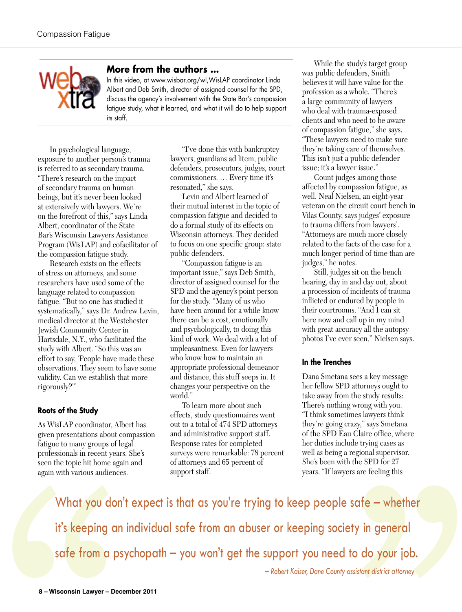

# **More from the authors …**

In this video, at www.wisbar.org/wl,WisLAP coordinator Linda Albert and Deb Smith, director of assigned counsel for the SPD, discuss the agency's involvement with the State Bar's compassion fatigue study, what it learned, and what it will do to help support its staff.

In psychological language, exposure to another person's trauma is referred to as secondary trauma. "There's research on the impact of secondary trauma on human beings, but it's never been looked at extensively with lawyers. We're on the forefront of this," says Linda Albert, coordinator of the State Bar's Wisconsin Lawyers Assistance Program (WisLAP) and cofacilitator of the compassion fatigue study.

Research exists on the effects of stress on attorneys, and some researchers have used some of the language related to compassion fatigue. "But no one has studied it systematically," says Dr. Andrew Levin, medical director at the Westchester Jewish Community Center in Hartsdale, N.Y., who facilitated the study with Albert. "So this was an effort to say, 'People have made these observations. They seem to have some validity. Can we establish that more rigorously?'"

# **Roots of the Study**

As WisLAP coordinator, Albert has given presentations about compassion fatigue to many groups of legal professionals in recent years. She's seen the topic hit home again and again with various audiences.

"I've done this with bankruptcy lawyers, guardians ad litem, public defenders, prosecutors, judges, court commissioners. … Every time it's resonated," she says.

Levin and Albert learned of their mutual interest in the topic of compassion fatigue and decided to do a formal study of its effects on Wisconsin attorneys. They decided to focus on one specific group: state public defenders.

"Compassion fatigue is an important issue," says Deb Smith, director of assigned counsel for the SPD and the agency's point person for the study. "Many of us who have been around for a while know there can be a cost, emotionally and psychologically, to doing this kind of work. We deal with a lot of unpleasantness. Even for lawyers who know how to maintain an appropriate professional demeanor and distance, this stuff seeps in. It changes your perspective on the world."

To learn more about such effects, study questionnaires went out to a total of 474 SPD attorneys and administrative support staff. Response rates for completed surveys were remarkable: 78 percent of attorneys and 65 percent of support staff.

While the study's target group was public defenders, Smith believes it will have value for the profession as a whole. "There's a large community of lawyers who deal with trauma-exposed clients and who need to be aware of compassion fatigue," she says. "These lawyers need to make sure they're taking care of themselves. This isn't just a public defender issue; it's a lawyer issue."

Count judges among those affected by compassion fatigue, as well. Neal Nielsen, an eight-year veteran on the circuit court bench in Vilas County, says judges' exposure to trauma differs from lawyers'. "Attorneys are much more closely related to the facts of the case for a much longer period of time than are judges," he notes.

Still, judges sit on the bench hearing, day in and day out, about a procession of incidents of trauma inflicted or endured by people in their courtrooms. "And I can sit here now and call up in my mind with great accuracy all the autopsy photos I've ever seen," Nielsen says.

# **In the Trenches**

Dana Smetana sees a key message her fellow SPD attorneys ought to take away from the study results: There's nothing wrong with you. "I think sometimes lawyers think they're going crazy," says Smetana of the SPD Eau Claire office, where her duties include trying cases as well as being a regional supervisor. She's been with the SPD for 27 years. "If lawyers are feeling this

What you don't expect is that as you're trying to keep people safe – whether<br>it's keeping an individual safe from an abuser or keeping society in general<br>safe from a psychopath – you won't get the support you need to do yo it's keeping an individual safe from an abuser or keeping society in general safe from a psychopath – you won't get the support you need to do your job.

– *Robert Kaiser, Dane County assistant district attorney*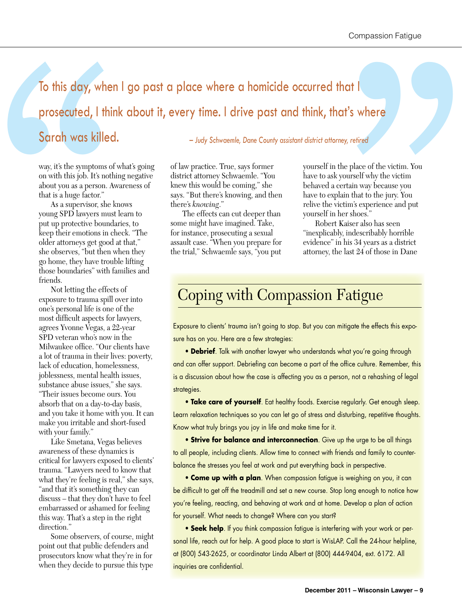# To this day, when I go past a place where a homicide occurred that I<br>
prosecuted, I think about it, every time. I drive past and think, that's where<br>
Sarah was killed. ——*bdy Schwoenh, Dane Comty asident district above, re* prosecuted, I think about it, every time. I drive past and think, that's where Sarah was killed. **Figure 2018** – *Judy Schwaemle, Dane County assistant district attorney, retired*

way, it's the symptoms of what's going on with this job. It's nothing negative about you as a person. Awareness of that is a huge factor."

To this day, whe<br>prosecuted, I th<br>Sarah was kille<br>way, it's the symptoms of<br>on with this job. It's not<br>about you as a person.<br>that is a huge factor."<br>As a supervisor, she<br>young SPD lawyers mu<br>put up protective boun-<br>keep t As a supervisor, she knows young SPD lawyers must learn to put up protective boundaries, to keep their emotions in check. "The older attorneys get good at that," she observes, "but then when they go home, they have trouble lifting those boundaries" with families and friends.

Not letting the effects of exposure to trauma spill over into one's personal life is one of the most difficult aspects for lawyers, agrees Yvonne Vegas, a 22-year SPD veteran who's now in the Milwaukee office. "Our clients have a lot of trauma in their lives: poverty, lack of education, homelessness, joblessness, mental health issues, substance abuse issues," she says. "Their issues become ours. You absorb that on a day-to-day basis, and you take it home with you. It can make you irritable and short-fused with your family."

Like Smetana, Vegas believes awareness of these dynamics is critical for lawyers exposed to clients' trauma. "Lawyers need to know that what they're feeling is real," she says, "and that it's something they can discuss – that they don't have to feel embarrassed or ashamed for feeling this way. That's a step in the right direction."

Some observers, of course, might point out that public defenders and prosecutors know what they're in for when they decide to pursue this type of law practice. True, says former district attorney Schwaemle. "You knew this would be coming," she says. "But there's knowing, and then there's *knowing*."

The effects can cut deeper than some might have imagined. Take, for instance, prosecuting a sexual assault case. "When you prepare for the trial," Schwaemle says, "you put

yourself in the place of the victim. You have to ask yourself why the victim behaved a certain way because you have to explain that to the jury. You relive the victim's experience and put yourself in her shoes."

Robert Kaiser also has seen "inexplicably, indescribably horrible evidence" in his 34 years as a district attorney, the last 24 of those in Dane

# Coping with Compassion Fatigue

Exposure to clients' trauma isn't going to stop. But you can mitigate the effects this exposure has on you. Here are a few strategies:

 • **Debrief**. Talk with another lawyer who understands what you're going through and can offer support. Debriefing can become a part of the office culture. Remember, this is a discussion about how the case is affecting you as a person, not a rehashing of legal strategies.

**• Take care of yourself**. Eat healthy foods. Exercise regularly. Get enough sleep. Learn relaxation techniques so you can let go of stress and disturbing, repetitive thoughts. Know what truly brings you joy in life and make time for it.

 • **Strive for balance and interconnection**. Give up the urge to be all things to all people, including clients. Allow time to connect with friends and family to counterbalance the stresses you feel at work and put everything back in perspective.

 • **Come up with a plan**. When compassion fatigue is weighing on you, it can be difficult to get off the treadmill and set a new course. Stop long enough to notice how you're feeling, reacting, and behaving at work and at home. Develop a plan of action for yourself. What needs to change? Where can you start?

 • **Seek help**. If you think compassion fatigue is interfering with your work or personal life, reach out for help. A good place to start is WisLAP. Call the 24-hour helpline, at (800) 543-2625, or coordinator Linda Albert at (800) 444-9404, ext. 6172. All inquiries are confidential.